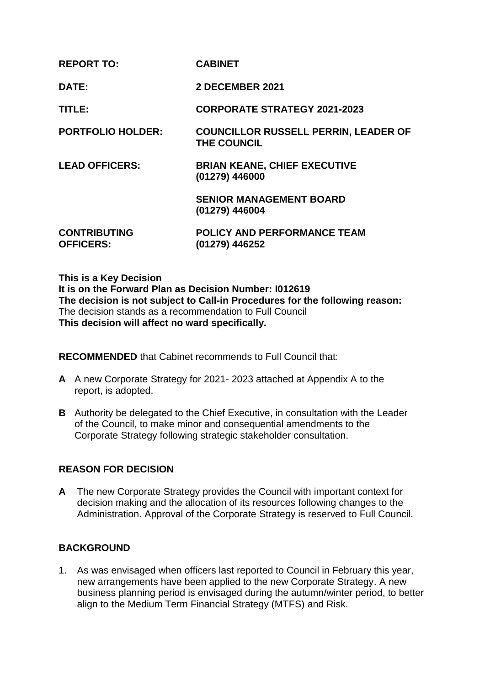| <b>REPORT TO:</b>                       | <b>CABINET</b>                                                    |
|-----------------------------------------|-------------------------------------------------------------------|
| DATE:                                   | 2 DECEMBER 2021                                                   |
| TITLE:                                  | <b>CORPORATE STRATEGY 2021-2023</b>                               |
| <b>PORTFOLIO HOLDER:</b>                | <b>COUNCILLOR RUSSELL PERRIN, LEADER OF</b><br><b>THE COUNCIL</b> |
| <b>LEAD OFFICERS:</b>                   | <b>BRIAN KEANE, CHIEF EXECUTIVE</b><br>(01279) 446000             |
|                                         | <b>SENIOR MANAGEMENT BOARD</b><br>(01279) 446004                  |
| <b>CONTRIBUTING</b><br><b>OFFICERS:</b> | <b>POLICY AND PERFORMANCE TEAM</b><br>(01279) 446252              |

#### **This is a Key Decision**

**It is on the Forward Plan as Decision Number: I012619 The decision is not subject to Call-in Procedures for the following reason:** The decision stands as a recommendation to Full Council **This decision will affect no ward specifically.**

**RECOMMENDED** that Cabinet recommends to Full Council that:

- **A** A new Corporate Strategy for 2021- 2023 attached at Appendix A to the report, is adopted.
- **B** Authority be delegated to the Chief Executive, in consultation with the Leader of the Council, to make minor and consequential amendments to the Corporate Strategy following strategic stakeholder consultation.

## **REASON FOR DECISION**

**A** The new Corporate Strategy provides the Council with important context for decision making and the allocation of its resources following changes to the Administration. Approval of the Corporate Strategy is reserved to Full Council.

## **BACKGROUND**

1. As was envisaged when officers last reported to Council in February this year, new arrangements have been applied to the new Corporate Strategy. A new business planning period is envisaged during the autumn/winter period, to better align to the Medium Term Financial Strategy (MTFS) and Risk.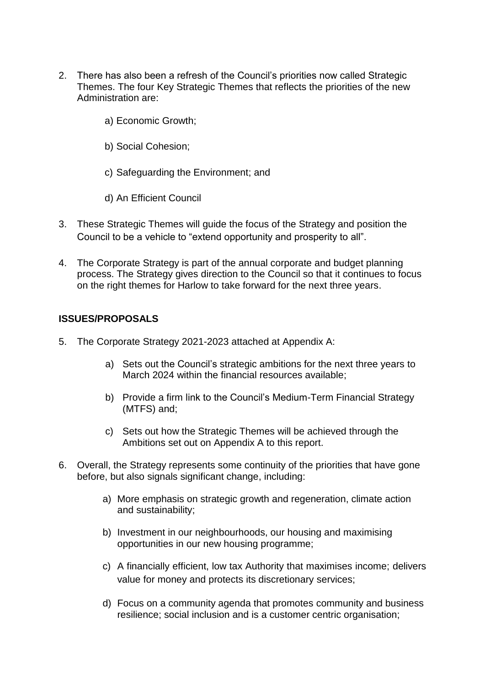- 2. There has also been a refresh of the Council's priorities now called Strategic Themes. The four Key Strategic Themes that reflects the priorities of the new Administration are:
	- a) Economic Growth;
	- b) Social Cohesion;
	- c) Safeguarding the Environment; and
	- d) An Efficient Council
- 3. These Strategic Themes will guide the focus of the Strategy and position the Council to be a vehicle to "extend opportunity and prosperity to all".
- 4. The Corporate Strategy is part of the annual corporate and budget planning process. The Strategy gives direction to the Council so that it continues to focus on the right themes for Harlow to take forward for the next three years.

## **ISSUES/PROPOSALS**

- 5. The Corporate Strategy 2021-2023 attached at Appendix A:
	- a) Sets out the Council's strategic ambitions for the next three years to March 2024 within the financial resources available;
	- b) Provide a firm link to the Council's Medium-Term Financial Strategy (MTFS) and;
	- c) Sets out how the Strategic Themes will be achieved through the Ambitions set out on Appendix A to this report.
- 6. Overall, the Strategy represents some continuity of the priorities that have gone before, but also signals significant change, including:
	- a) More emphasis on strategic growth and regeneration, climate action and sustainability;
	- b) Investment in our neighbourhoods, our housing and maximising opportunities in our new housing programme;
	- c) A financially efficient, low tax Authority that maximises income; delivers value for money and protects its discretionary services;
	- d) Focus on a community agenda that promotes community and business resilience; social inclusion and is a customer centric organisation;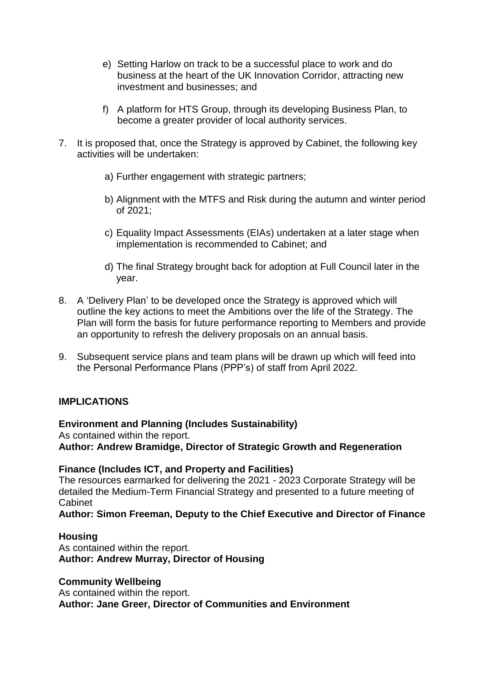- e) Setting Harlow on track to be a successful place to work and do business at the heart of the UK Innovation Corridor, attracting new investment and businesses; and
- f) A platform for HTS Group, through its developing Business Plan, to become a greater provider of local authority services.
- 7. It is proposed that, once the Strategy is approved by Cabinet, the following key activities will be undertaken:
	- a) Further engagement with strategic partners;
	- b) Alignment with the MTFS and Risk during the autumn and winter period of 2021;
	- c) Equality Impact Assessments (EIAs) undertaken at a later stage when implementation is recommended to Cabinet; and
	- d) The final Strategy brought back for adoption at Full Council later in the year.
- 8. A 'Delivery Plan' to be developed once the Strategy is approved which will outline the key actions to meet the Ambitions over the life of the Strategy. The Plan will form the basis for future performance reporting to Members and provide an opportunity to refresh the delivery proposals on an annual basis.
- 9. Subsequent service plans and team plans will be drawn up which will feed into the Personal Performance Plans (PPP's) of staff from April 2022.

## **IMPLICATIONS**

## **Environment and Planning (Includes Sustainability)**

As contained within the report.

**Author: Andrew Bramidge, Director of Strategic Growth and Regeneration** 

## **Finance (Includes ICT, and Property and Facilities)**

The resources earmarked for delivering the 2021 - 2023 Corporate Strategy will be detailed the Medium-Term Financial Strategy and presented to a future meeting of Cabinet

## **Author: Simon Freeman, Deputy to the Chief Executive and Director of Finance**

## **Housing**

As contained within the report. **Author: Andrew Murray, Director of Housing**

#### **Community Wellbeing**

As contained within the report. **Author: Jane Greer, Director of Communities and Environment**